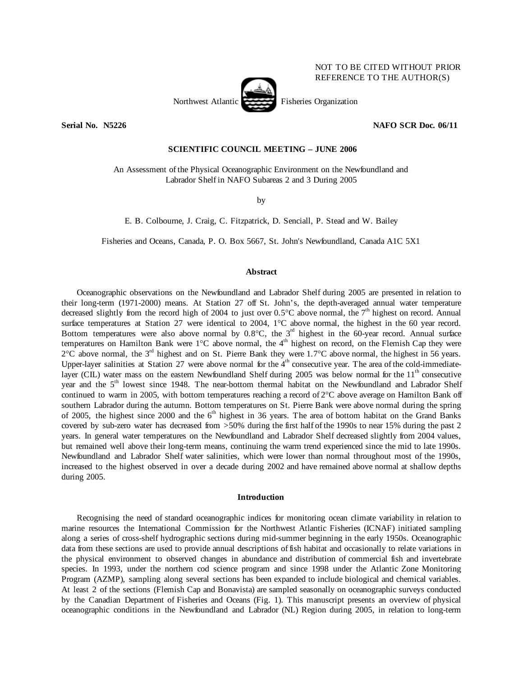| NOT TO BE CITED WITHOUT PRIOR |
|-------------------------------|
| REFERENCE TO THE AUTHOR(S)    |



**Serial No. N5226 NAFO SCR Doc. 06/11** 

# **SCIENTIFIC COUNCIL MEETING – JUNE 2006**

An Assessment of the Physical Oceanographic Environment on the Newfoundland and Labrador Shelf in NAFO Subareas 2 and 3 During 2005

by

E. B. Colbourne, J. Craig, C. Fitzpatrick, D. Senciall, P. Stead and W. Bailey

Fisheries and Oceans, Canada, P. O. Box 5667, St. John's Newfoundland, Canada A1C 5X1

#### **Abstract**

Oceanographic observations on the Newfoundland and Labrador Shelf during 2005 are presented in relation to their long-term (1971-2000) means. At Station 27 off St. John's, the depth-averaged annual water temperature decreased slightly from the record high of 2004 to just over 0.5°C above normal, the  $7<sup>th</sup>$  highest on record. Annual surface temperatures at Station 27 were identical to 2004, 1°C above normal, the highest in the 60 year record. Bottom temperatures were also above normal by  $0.8^{\circ}$ C, the  $3^{\text{rd}}$  highest in the 60-year record. Annual surface temperatures on Hamilton Bank were  $1^{\circ}$ C above normal, the 4<sup>th</sup> highest on record, on the Flemish Cap they were  $2^{\circ}$ C above normal, the  $3^{\text{rd}}$  highest and on St. Pierre Bank they were 1.7°C above normal, the highest in 56 years. Upper-layer salinities at Station 27 were above normal for the  $4<sup>th</sup>$  consecutive year. The area of the cold-immediatelayer (CIL) water mass on the eastern Newfoundland Shelf during 2005 was below normal for the  $11<sup>th</sup>$  consecutive year and the 5<sup>th</sup> lowest since 1948. The near-bottom thermal habitat on the Newfoundland and Labrador Shelf continued to warm in 2005, with bottom temperatures reaching a record of 2°C above average on Hamilton Bank off southern Labrador during the autumn. Bottom temperatures on St. Pierre Bank were above normal during the spring of 2005, the highest since 2000 and the  $6<sup>th</sup>$  highest in 36 years. The area of bottom habitat on the Grand Banks covered by sub-zero water has decreased from >50% during the first half of the 1990s to near 15% during the past 2 years. In general water temperatures on the Newfoundland and Labrador Shelf decreased slightly from 2004 values, but remained well above their long-term means, continuing the warm trend experienced since the mid to late 1990s. Newfoundland and Labrador Shelf water salinities, which were lower than normal throughout most of the 1990s, increased to the highest observed in over a decade during 2002 and have remained above normal at shallow depths during 2005.

#### **Introduction**

Recognising the need of standard oceanographic indices for monitoring ocean climate variability in relation to marine resources the International Commission for the Northwest Atlantic Fisheries (ICNAF) initiated sampling along a series of cross-shelf hydrographic sections during mid-summer beginning in the early 1950s. Oceanographic data from these sections are used to provide annual descriptions of fish habitat and occasionally to relate variations in the physical environment to observed changes in abundance and distribution of commercial fish and invertebrate species. In 1993, under the northern cod science program and since 1998 under the Atlantic Zone Monitoring Program (AZMP), sampling along several sections has been expanded to include biological and chemical variables. At least 2 of the sections (Flemish Cap and Bonavista) are sampled seasonally on oceanographic surveys conducted by the Canadian Department of Fisheries and Oceans (Fig. 1). This manuscript presents an overview of physical oceanographic conditions in the Newfoundland and Labrador (NL) Region during 2005, in relation to long-term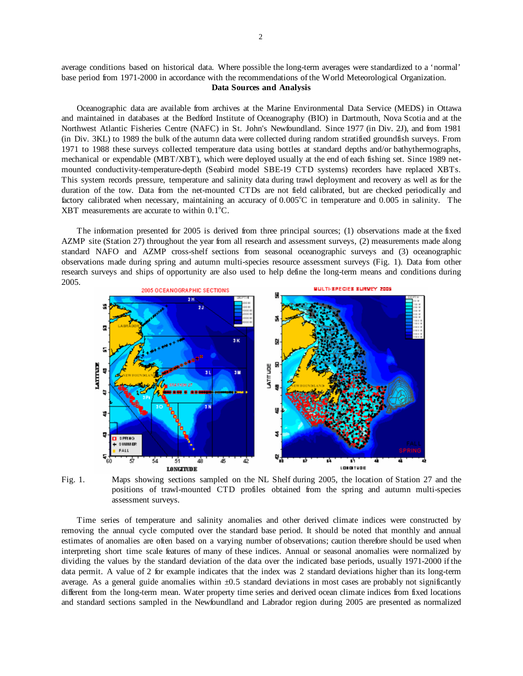average conditions based on historical data. Where possible the long-term averages were standardized to a 'normal' base period from 1971-2000 in accordance with the recommendations of the World Meteorological Organization.

# **Data Sources and Analysis**

 Oceanographic data are available from archives at the Marine Environmental Data Service (MEDS) in Ottawa and maintained in databases at the Bedford Institute of Oceanography (BIO) in Dartmouth, Nova Scotia and at the Northwest Atlantic Fisheries Centre (NAFC) in St. John's Newfoundland. Since 1977 (in Div. 2J), and from 1981 (in Div. 3KL) to 1989 the bulk of the autumn data were collected during random stratified groundfish surveys. From 1971 to 1988 these surveys collected temperature data using bottles at standard depths and/or bathythermographs, mechanical or expendable (MBT/XBT), which were deployed usually at the end of each fishing set. Since 1989 netmounted conductivity-temperature-depth (Seabird model SBE-19 CTD systems) recorders have replaced XBTs. This system records pressure, temperature and salinity data during trawl deployment and recovery as well as for the duration of the tow. Data from the net-mounted CTDs are not field calibrated, but are checked periodically and factory calibrated when necessary, maintaining an accuracy of  $0.005^{\circ}$ C in temperature and  $0.005$  in salinity. The XBT measurements are accurate to within  $0.1^{\circ}$ C.

 The information presented for 2005 is derived from three principal sources; (1) observations made at the fixed AZMP site (Station 27) throughout the year from all research and assessment surveys, (2) measurements made along standard NAFO and AZMP cross-shelf sections from seasonal oceanographic surveys and (3) oceanographic observations made during spring and autumn multi-species resource assessment surveys (Fig. 1). Data from other research surveys and ships of opportunity are also used to help define the long-term means and conditions during 2005.



Fig. 1. Maps showing sections sampled on the NL Shelf during 2005, the location of Station 27 and the positions of trawl-mounted CTD profiles obtained from the spring and autumn multi-species assessment surveys.

 Time series of temperature and salinity anomalies and other derived climate indices were constructed by removing the annual cycle computed over the standard base period. It should be noted that monthly and annual estimates of anomalies are often based on a varying number of observations; caution therefore should be used when interpreting short time scale features of many of these indices. Annual or seasonal anomalies were normalized by dividing the values by the standard deviation of the data over the indicated base periods, usually 1971-2000 if the data permit. A value of 2 for example indicates that the index was 2 standard deviations higher than its long-term average. As a general guide anomalies within  $\pm 0.5$  standard deviations in most cases are probably not significantly different from the long-term mean. Water property time series and derived ocean climate indices from fixed locations and standard sections sampled in the Newfoundland and Labrador region during 2005 are presented as normalized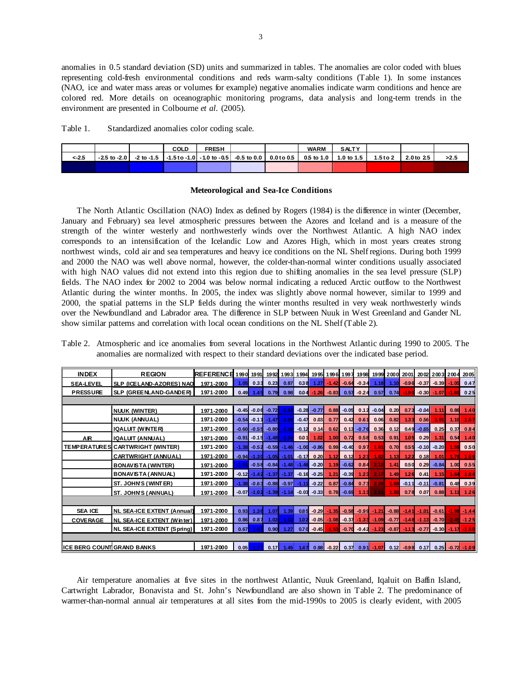anomalies in 0.5 standard deviation (SD) units and summarized in tables. The anomalies are color coded with blues representing cold-fresh environmental conditions and reds warm-salty conditions (Table 1). In some instances (NAO, ice and water mass areas or volumes for example) negative anomalies indicate warm conditions and hence are colored red. More details on oceanographic monitoring programs, data analysis and long-term trends in the environment are presented in Colbourne *et al.* (2005).

Table 1. Standardized anomalies color coding scale.

|       |                                                                                                                         | COLD | <b>FRESH</b> |  | <b>WARM</b> | <b>SALTY</b> |           |                     |      |
|-------|-------------------------------------------------------------------------------------------------------------------------|------|--------------|--|-------------|--------------|-----------|---------------------|------|
| < 2.5 | $-25$ to -2.0 $-2$ to -1.5 $-1.5$ to -1.0 $-1.0$ to -0.5 $-0.5$ to 0.0 $-0.0$ to 0.5 $-0.5$ to 1.0 $-1.0$ to 1.5 $-1.5$ |      |              |  |             |              | 1.5 t o 2 | $\sqrt{2.0}$ to 2.5 | >2.5 |
|       |                                                                                                                         |      |              |  |             |              |           |                     |      |

### **Meteorological and Sea-Ice Conditions**

The North Atlantic Oscillation (NAO) Index as defined by Rogers (1984) is the difference in winter (December, January and February) sea level atmospheric pressures between the Azores and Iceland and is a measure of the strength of the winter westerly and northwesterly winds over the Northwest Atlantic. A high NAO index corresponds to an intensification of the Icelandic Low and Azores High, which in most years creates strong northwest winds, cold air and sea temperatures and heavy ice conditions on the NL Shelf regions. During both 1999 and 2000 the NAO was well above normal, however, the colder-than-normal winter conditions usually associated with high NAO values did not extend into this region due to shifting anomalies in the sea level pressure (SLP) fields. The NAO index for 2002 to 2004 was below normal indicating a reduced Arctic outflow to the Northwest Atlantic during the winter months. In 2005, the index was slightly above normal however, similar to 1999 and 2000, the spatial patterns in the SLP fields during the winter months resulted in very weak northwesterly winds over the Newfoundland and Labrador area. The difference in SLP between Nuuk in West Greenland and Gander NL show similar patterns and correlation with local ocean conditions on the NL Shelf (Table 2).

| Table 2. Atmospheric and ice anomalies from several locations in the Northwest Atlantic during 1990 to 2005. The |  |  |
|------------------------------------------------------------------------------------------------------------------|--|--|
| anomalies are normalized with respect to their standard deviations over the indicated base period.               |  |  |

| <b>INDEX</b>                       | <b>REGION</b>                           | <b>REFERENCE</b> | 1990    | 1991    | 1992    | 1993    | 1994    | 1995          | 1996    | 1997    | 1998           | 1999    | 2000    | 2001    | 2002    | 2003 2004 |         | 2005    |
|------------------------------------|-----------------------------------------|------------------|---------|---------|---------|---------|---------|---------------|---------|---------|----------------|---------|---------|---------|---------|-----------|---------|---------|
| <b>SEA-LEVEL</b>                   | SLP (ICELAND-AZORES) NAO                | 1971-2000        | 1.05    | 0.33    | 0.23    | 0.87    | 0.38    | 1.27          | $-1.42$ | $-0.64$ | $-0.34$        | 1.18    | 1.10    | $-0.96$ | $-0.37$ | $-0.39$   | $-1.05$ | 0.47    |
| <b>PRESSURE</b>                    | SLP (GREENLAND-GANDER)                  | 1971-2000        | 0.49    | 45      | 0.79    | 0.98    | 0.04    | $-1.26$       | $-0.83$ | 0.57    | $-0.24$        | 0.57    | 0.74    | -1.9 d  | $-0.30$ | $-1.07$   | $-1.60$ | 0.25    |
|                                    |                                         |                  |         |         |         |         |         |               |         |         |                |         |         |         |         |           |         |         |
|                                    | <b>NUUK (WINTER)</b>                    | 1971-2000        | $-0.45$ | $-0.06$ | $-0.72$ | $-1.84$ | $-0.28$ | $-0.77$       | 0.88    | $-0.05$ | 0.12           | $-0.04$ | 0.20    | 0.73    | $-0.04$ | 1.11      | 0.86    | $1.40$  |
|                                    | <b>NUUK (ANNUAL)</b>                    | 1971-2000        | $-0.54$ | $-0.11$ | $-1.47$ | $-1.68$ | $-0.47$ | 0.03          | 0.77    | 0.42    | 0.61           | 0.06    | 0.82    | 1.33    | 0.56    | 1.91      | 1.10    | 1.67    |
|                                    | <b>IQALUIT (WINTER)</b>                 | 1971-2000        | -0.60   | $-0.55$ | $-0.80$ | -1.59   | $-0.12$ | 0.14          | 0.62    | 0.13    | $-0.76$        | 0.36    | 0.12    | 0.49    | $-0.65$ | 0.25      | 0.37    | 0.84    |
| <b>AR</b>                          | <b>IQALUIT (ANNUAL)</b>                 | 1971-2000        | -0.91   | $-0.15$ | $-1.48$ | $-1.54$ | 0.01    | 1.02          | 1.00    | 0.72    | 0.58           | 0.53    | 0.91    | 1.05    | 0.29    | 1.31      | 0.54    | 1.40    |
|                                    | <b>TEMPERATURES CARTWRIGHT (WINTER)</b> | 1971-2000        | -1.38   | $-0.52$ | $-0.59$ | $-1.46$ | $-1.00$ | $-0.86$       | 0.99    | $-0.40$ | 0.97           | 1.61    | 0.70    | 0.55    | $-0.10$ | $-0.20$   | 1.59    | 0.50    |
|                                    | <b>CARTWRIGHT (ANNUAL)</b>              | 1971-2000        | $-0.94$ | -1.3 d  | $-1.05$ | $-1.01$ | $-0.17$ | 0.20          | 1.12    | 0.12    | 1.23           | 1.82    | 1.13    | 122     | 0.18    | 1.01      | 1.79    | 1.59    |
|                                    | <b>BONAVISTA (WINTER)</b>               | 1971-2000        | $-1.51$ | $-0.58$ | $-0.84$ | $-1.48$ | $-1.46$ | $-0.20$       | 1.19    | $-0.62$ | 0.84           | 2.12    | 1.41    | 0.50    | 0.29    | $-0.84$   | 1.00    | 0.55    |
|                                    | <b>BONAVISTA (ANNUAL)</b>               | 1971-2000        | $-0.12$ | -142    | $-1.37$ | $-1.37$ | $-0.16$ | $-0.25$       | 1.21    | $-0.39$ | 1.23           | 2.17    | 1.49    | 126     | 0.41    | 1.15      | 1.64    | 1.84    |
|                                    | ST. JOHN'S (WINTER)                     | 1971-2000        | -1.38   | $-0.63$ | $-0.88$ | $-0.97$ | $-1.11$ | $-0.22$       | 0.87    | $-0.84$ | 0.73           | 2.28    | 1.69    | $-0.11$ | $-0.11$ | $-0.81$   | 0.48    | 0.39    |
|                                    | <b>ST. JOHN'S (ANNUAL)</b>              | 1971-2000        | $-0.07$ | $-1.02$ | $-1.39$ | $-1.14$ | $-0.03$ | $-0.33$       | 0.78    | $-0.69$ | 1.13           |         | 1.55    | 0.78    | 0.07    | 0.88      | 1.11    | 1.26    |
|                                    |                                         |                  |         |         |         |         |         |               |         |         |                |         |         |         |         |           |         |         |
| <b>SEA ICE</b>                     | <b>NL SEA-ICE EXTENT (Annual)</b>       | 1971-2000        | 0.93    | 1.36    | 1.07    | 1.39    | 0.85    | $-0.29$       | $-1.35$ | $-0.58$ | $-0.99$        | $-1.21$ | $-0.88$ | $-141$  | $-1.01$ | $-0.61$   | $-1.98$ | $-1.44$ |
| <b>COVERAGE</b>                    | NL SEA-ICE EXTENT (Winter)              | 1971-2000        | 0.86    | 0.87    | 1.02    | 1.52    | 1.02    | $-0.05$       | $-1.08$ | $-0.37$ | $-1.33$        | $-1.09$ | $-0.77$ | $-1.48$ | $-1.13$ | $-0.70$   | $-2.45$ | $-1.25$ |
|                                    | <b>NL SEA-ICE EXTENT (Spring)</b>       | 1971-2000        | 0.67    | 1.63    | 0.90    | 1.27    |         | $0.70 - 0.45$ | $-1.53$ |         | $-0.70 - 0.42$ | $-1.23$ | $-0.87$ | $-1.13$ | $-0.77$ | $-0.30$   | $-1.17$ | $-1.50$ |
|                                    |                                         |                  |         |         |         |         |         |               |         |         |                |         |         |         |         |           |         |         |
| <b>IICE BERG COUNT GRAND BANKS</b> |                                         | 1971-2000        | 0.05    | 1.77    | 0.17    | 1.45    | 147     | 0.98          | $-0.22$ | 0.37    | 0.91           | $-1.07$ | 0.12    | $-0.98$ | 0.17    | 0.25      | $-0.72$ | $-1.09$ |

Air temperature anomalies at five sites in the northwest Atlantic, Nuuk Greenland, Iqaluit on Baffin Island, Cartwright Labrador, Bonavista and St. John's Newfoundland are also shown in Table 2. The predominance of warmer-than-normal annual air temperatures at all sites from the mid-1990s to 2005 is clearly evident, with 2005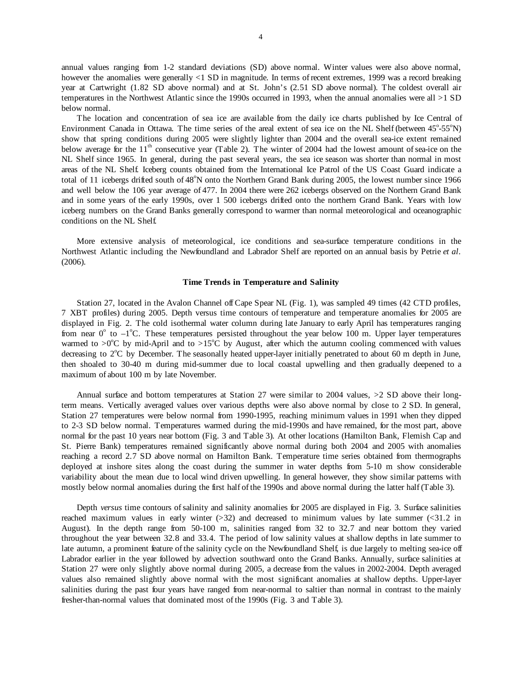annual values ranging from 1-2 standard deviations (SD) above normal. Winter values were also above normal, however the anomalies were generally <1 SD in magnitude. In terms of recent extremes, 1999 was a record breaking year at Cartwright (1.82 SD above normal) and at St. John's (2.51 SD above normal). The coldest overall air temperatures in the Northwest Atlantic since the 1990s occurred in 1993, when the annual anomalies were all >1 SD below normal.

 The location and concentration of sea ice are available from the daily ice charts published by Ice Central of Environment Canada in Ottawa. The time series of the areal extent of sea ice on the NL Shelf (between  $45^{\circ}$ - $55^{\circ}$ N) show that spring conditions during 2005 were slightly lighter than 2004 and the overall sea-ice extent remained below average for the  $11<sup>th</sup>$  consecutive year (Table 2). The winter of 2004 had the lowest amount of sea-ice on the NL Shelf since 1965. In general, during the past several years, the sea ice season was shorter than normal in most areas of the NL Shelf. Iceberg counts obtained from the International Ice Patrol of the US Coast Guard indicate a total of 11 icebergs drifted south of 48°N onto the Northern Grand Bank during 2005, the lowest number since 1966 and well below the 106 year average of 477. In 2004 there were 262 icebergs observed on the Northern Grand Bank and in some years of the early 1990s, over 1 500 icebergs drifted onto the northern Grand Bank. Years with low iceberg numbers on the Grand Banks generally correspond to warmer than normal meteorological and oceanographic conditions on the NL Shelf.

 More extensive analysis of meteorological, ice conditions and sea-surface temperature conditions in the Northwest Atlantic including the Newfoundland and Labrador Shelf are reported on an annual basis by Petrie *et al*. (2006).

### **Time Trends in Temperature and Salinity**

 Station 27, located in the Avalon Channel off Cape Spear NL (Fig. 1), was sampled 49 times (42 CTD profiles, 7 XBT profiles) during 2005. Depth versus time contours of temperature and temperature anomalies for 2005 are displayed in Fig. 2. The cold isothermal water column during late January to early April has temperatures ranging from near  $0^{\circ}$  to  $-1^{\circ}$ C. These temperatures persisted throughout the year below 100 m. Upper layer temperatures warmed to  $>0$ <sup>o</sup>C by mid-April and to  $>15$ <sup>o</sup>C by August, after which the autumn cooling commenced with values decreasing to  $2^{\circ}$ C by December. The seasonally heated upper-layer initially penetrated to about 60 m depth in June, then shoaled to 30-40 m during mid-summer due to local coastal upwelling and then gradually deepened to a maximum of about 100 m by late November.

Annual surface and bottom temperatures at Station 27 were similar to 2004 values,  $>2$  SD above their longterm means. Vertically averaged values over various depths were also above normal by close to 2 SD. In general, Station 27 temperatures were below normal from 1990-1995, reaching minimum values in 1991 when they dipped to 2-3 SD below normal. Temperatures warmed during the mid-1990s and have remained, for the most part, above normal for the past 10 years near bottom (Fig. 3 and Table 3). At other locations (Hamilton Bank, Flemish Cap and St. Pierre Bank) temperatures remained significantly above normal during both 2004 and 2005 with anomalies reaching a record 2.7 SD above normal on Hamilton Bank. Temperature time series obtained from thermographs deployed at inshore sites along the coast during the summer in water depths from 5-10 m show considerable variability about the mean due to local wind driven upwelling. In general however, they show similar patterns with mostly below normal anomalies during the first half of the 1990s and above normal during the latter half (Table 3).

 Depth *versus* time contours of salinity and salinity anomalies for 2005 are displayed in Fig. 3. Surface salinities reached maximum values in early winter  $(>32)$  and decreased to minimum values by late summer  $(<31.2$  in August). In the depth range from 50-100 m, salinities ranged from 32 to 32.7 and near bottom they varied throughout the year between 32.8 and 33.4. The period of low salinity values at shallow depths in late summer to late autumn, a prominent feature of the salinity cycle on the Newfoundland Shelf, is due largely to melting sea-ice off Labrador earlier in the year followed by advection southward onto the Grand Banks. Annually, surface salinities at Station 27 were only slightly above normal during 2005, a decrease from the values in 2002-2004. Depth averaged values also remained slightly above normal with the most significant anomalies at shallow depths. Upper-layer salinities during the past four years have ranged from near-normal to saltier than normal in contrast to the mainly fresher-than-normal values that dominated most of the 1990s (Fig. 3 and Table 3).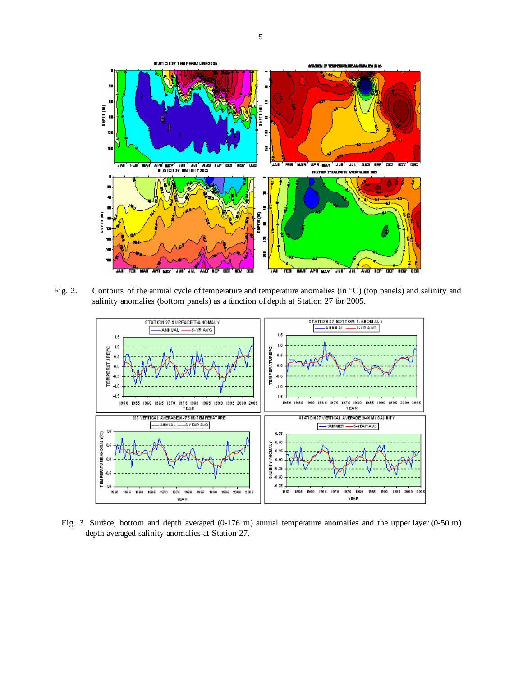

Fig. 2. Contours of the annual cycle of temperature and temperature anomalies (in °C) (top panels) and salinity and salinity anomalies (bottom panels) as a function of depth at Station 27 for 2005.



Fig. 3. Surface, bottom and depth averaged (0-176 m) annual temperature anomalies and the upper layer (0-50 m) depth averaged salinity anomalies at Station 27.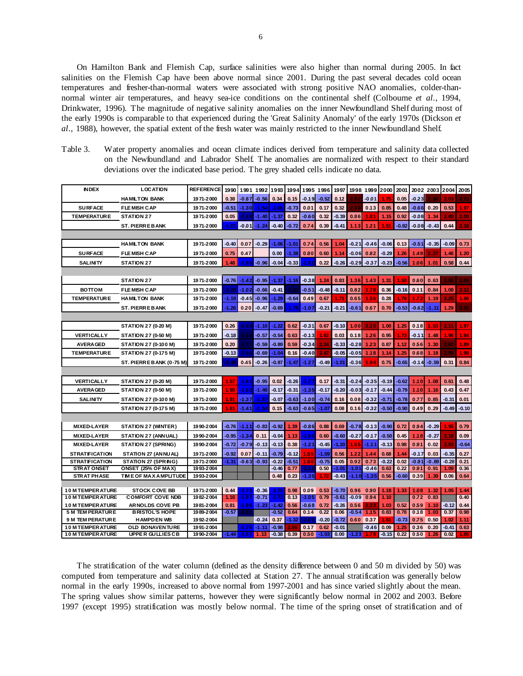On Hamilton Bank and Flemish Cap, surface salinities were also higher than normal during 2005. In fact salinities on the Flemish Cap have been above normal since 2001. During the past several decades cold ocean temperatures and fresher-than-normal waters were associated with strong positive NAO anomalies, colder-thannormal winter air temperatures, and heavy sea-ice conditions on the continental shelf (Colbourne *et al*., 1994, Drinkwater, 1996). The magnitude of negative salinity anomalies on the inner Newfoundland Shelf during most of the early 1990s is comparable to that experienced during the 'Great Salinity Anomaly' of the early 1970s (Dickson *et al*., 1988), however, the spatial extent of the fresh water was mainly restricted to the inner Newfoundland Shelf.

Table 3. Water property anomalies and ocean climate indices derived from temperature and salinity data collected on the Newfoundland and Labrador Shelf. The anomalies are normalized with respect to their standard deviations over the indicated base period. The grey shaded cells indicate no data.

| <b>INDEX</b>             | <b>LOCATION</b>              | <b>REFERENCE</b> | 1990    |                      | 1991 1992 1993  |         | 1994    |          | 1995 1996 | 1997    |         | 1998 1999 | 2000    | 2001    |         | 2002 2003      | 2004    | 2005    |
|--------------------------|------------------------------|------------------|---------|----------------------|-----------------|---------|---------|----------|-----------|---------|---------|-----------|---------|---------|---------|----------------|---------|---------|
|                          | <b>HAMILTON BANK</b>         | 1971-2000        | 0.38    |                      | -0.87 -0.56     | 0.34    | 0.15    | -0.19    | $-0.52$   | 0.12    |         | $-0.01$   | 1.75    | 0.05    | $-0.23$ |                | 2.03    |         |
| <b>SURFACE</b>           | <b>FLEMISH CAP</b>           | 1971-2000        | $-0.51$ | -1.30II              | $-1.54$         | $-1.66$ | $-0.73$ | 0.01     | 0.17      | 0.32    | 2.51    | 0.13      | 0.85    | 0.48    | -0.66   | 0.20           | 0.53    | 1.97    |
| <b>TEMPERATURE</b>       | <b>STATION 27</b>            | 1971-2000        | 0.05    | 2491                 | $-1.40$         | $-1.37$ | 0.32    | $-0.60$  | 0.32      | $-0.39$ | 0.86    | 1.81      | 1.15    | 0.92    | $-0.08$ | 1.34           | 2.00    | 2.00    |
|                          | <b>ST. PIERRE BANK</b>       | 1971-2000        | $-1.81$ | $-0.01$              | $-1.24$         | $-0.40$ | $-0.72$ | 0.74     | 0.39      | $-0.41$ | 1.13    | 1.21      | 1.51    | $-0.82$ | -0.08   | $-0.43$        | 0.44    | 2.18    |
|                          |                              |                  |         |                      |                 |         |         |          |           |         |         |           |         |         |         |                |         |         |
|                          | <b>HAMILTON BANK</b>         | 1971-2000        | $-0.40$ | 0.07                 | $-0.29$         | $-1.06$ | $-1.01$ | 0.74     | 0.56      | 1.04    | $-0.21$ | -0.46     | $-0.06$ | 0.13    | -0.51   | $-0.35$        | $-0.09$ | 0.73    |
| <b>SURFACE</b>           | <b>FLE MISH CAP</b>          | 1971-2000        | 0.75    | 0.47                 |                 | 0.00    | $-1.38$ | 0.80     | 0.60      | 1.14    | -0.06   | 0.82      | $-0.29$ | 1.26    | 1.49    | 2.27           | 1.46    | 1.20    |
| <b>SALINITY</b>          |                              | 1971-2000        |         |                      |                 | $-0.04$ | $-0.33$ |          | 0.22      | $-0.26$ | $-0.29$ | $-0.37$   | $-0.23$ | $-0.56$ |         |                | 0.58    | 0.44    |
|                          | <b>STATION 27</b>            |                  | 1.48    |                      | $-1.85 - 0.96$  |         |         | $-1.82$  |           |         |         |           |         |         | 1.06    | 1.01           |         |         |
|                          |                              |                  |         |                      |                 |         |         |          |           |         |         |           |         |         |         |                |         |         |
|                          | <b>STATION 27</b>            | 1971-2000        | $-0.76$ |                      | $-1.42 - 0.95$  | $-1.37$ | $-1.16$ | $-0.38$  | 1.24      | 0.83    | 1.36    | 1.43      | 1.31    | 1.50    | 0.60    | 0.63           | 2.95    | 2.65    |
| <b>BOTTOM</b>            | <b>FLEMISH CAP</b>           | 1971-2000        | $-2.30$ |                      | $-1.02 - 0.66$  | $-0.41$ |         | $-0.51$  | $-0.48$   | $-0.11$ | 0.82    | 1.78      | 0.36    | $-0.16$ | 0.11    | 0.84           | 1.08    | 2.12    |
| <b>TEMPERATURE</b>       | <b>HAMILTON BANK</b>         | 1971-2000        | $-1.19$ | $-0.45$              | $-0.96$         | -1.29   | $-0.64$ | 0.49     | 0.67      | 1.71    | 0.65    | 1.56      | 0.28    | 1.79    | 1.72    | 1.19           | 2.25    | 1.86    |
|                          | <b>ST. PIERREBANK</b>        | 1971-2000        | $-1.26$ | 0.20                 | $-0.47$         | $-0.69$ | $-1.78$ | $-1.07$  | $-0.21$   | $-0.21$ | $-0.61$ | 0.67      | 0.70    | $-0.53$ | $-0.62$ | $-1.11$        | 1.29    | 2.91    |
|                          |                              |                  |         |                      |                 |         |         |          |           |         |         |           |         |         |         |                |         |         |
|                          | <b>STATION 27 (0-20 M)</b>   | 1971-2000        | 0.26    | 2.40                 | $-1.10$         | $-1.22$ | 0.62    | $-0.31$  | 0.67      | $-0.10$ | 1.00    | 2.10      | 1.00    | 1.25    | 0.18    | 1.53           | 2.11    | 1.97    |
| VERTICALLY               | <b>STATION 27 (0-50 M)</b>   | 1971-2000        | $-0.18$ |                      | $-0.57$         | $-0.54$ | 0.63    | $-0.13$  | 1.62      | 0.03    | 0.18    | 1.26      | 0.95    | 1.73    | $-0.11$ | 1.48           | 1.96    | 1.94    |
| <b>AVERA GED</b>         | <b>STATION 27 (0-100 M)</b>  | 1971-2000        | 0.20    |                      | $-0.59$         | $-0.89$ | 0.59    | $-0.34$  | 2.24      | $-0.33$ | $-0.28$ | 1.23      | 0.87    | 1.12    | 0.56    | 1.30           | 2.61    | 1.89    |
| <b>TEMPERATURE</b>       | <b>STATION 27 (0-175 M)</b>  | 1971-2000        | $-0.13$ | 246                  | $-0.69$         | $-1.04$ | 0.16    | $-0.40$  | 2.47      | $-0.05$ | $-0.05$ | 1.18      | 1.14    | 1.25    | 0.68    | 1.18           | 2.95    | 1.98    |
|                          | ST. PIERREBANK (0-75 M)      | 1971-2000        | $-2.46$ | 0.45                 | $-0.26$         | $-0.87$ | $-1.47$ | $-1.27$  | $-0.49$   | $-1.01$ | $-0.36$ | 1.94      | 0.75    | $-0.65$ | $-0.14$ | $-0.59$        | 0.31    | 0.84    |
|                          |                              |                  |         |                      |                 |         |         |          |           |         |         |           |         |         |         |                |         |         |
| VERTICALLY               | <b>STATION 27 (0-20 M)</b>   | 1971-2000        | 1.57    |                      | -1.81 -0.95     | 0.02    | $-0.26$ | -1.77    | 0.17      | $-0.31$ | $-0.24$ | $-0.35$   | $-0.19$ | $-0.62$ | 1.10    | 1.08           | 0.61    | 0.48    |
| <b>AVERA GED</b>         | <b>STATION 27 (0-50 M)</b>   | 1971-2000        | 1.90    |                      | -1.63  -1.46    | $-0.17$ | $-0.31$ | -1.35    | $-0.17$   | $-0.20$ | $-0.03$ | $-0.17$   | $-0.44$ | $-0.79$ | 1.10    | 1.16           | 0.43    | 0.47    |
| <b>SALINITY</b>          | <b>STATION 27 (0-100 M)</b>  | 1971-2000        | 1.91    | -137                 | $-1.57$         | $-0.07$ | $-0.63$ | $-1.00$  | $-0.74$   | 0.16    | 0.08    | $-0.32$   | $-0.71$ | $-0.78$ | 0.77    | 0.85           | $-0.31$ | 0.01    |
|                          |                              |                  |         |                      |                 |         |         |          |           |         |         |           |         |         |         |                |         |         |
|                          | <b>STATION 27 (0-175 M)</b>  | 1971-2000        | 1.61    | -1411                | $-1.54$         | 0.15    | $-0.63$ | $-0.65$  | $-1.07$   | 0.08    | 0.16    | $-0.32$   | $-0.50$ | $-0.90$ | 0.49    | 0.29           | $-0.49$ | $-0.10$ |
|                          |                              |                  |         |                      |                 |         |         |          |           |         |         |           |         |         |         |                |         |         |
| <b>MIXED-LAYER</b>       | STATION 27 (WINTER)          | 1990-2004        | $-0.76$ |                      | $-1.11$ $-0.83$ | $-0.92$ | 1.39    | $-0.86$  | 0.88      | 0.69    | $-0.78$ | $-0.13$   | $-0.90$ | 0.72    | 0.94    | $-0.29$        | 1.95    | 0.79    |
| <b>MIXED-LAYER</b>       | STATION 27 (ANNUAL)          | 1990-2004        | $-0.95$ | $-1.34$              | 0.11            | $-0.04$ | 1.13    | $-1.60$  | 0.60      | $-0.60$ | $-0.27$ | $-0.17$   | $-0.50$ | 0.45    | 1.18    | $-0.27$        | 2.18    | 0.09    |
| <b>MIXED-LAYER</b>       | <b>STATION 27 (SPRING)</b>   | 1990-2004        | $-0.72$ | -0.791               | $-0.13$         | $-0.13$ | 0.38    | $-1.21$  | $-0.45$   | $-1.20$ | 1.55    | -1.11     | $-0.13$ | 0.98    | 0.91    | 0.02           | 2.03    | $-0.64$ |
| <b>STRATIFICATION</b>    | STATION 27 (ANNUAL)          | 1971-2000        | $-0.92$ | 0.07                 | $-0.11$         | $-0.79$ | $-0.12$ | 1.55     | $-1.09$   | 0.56    | 1.22    | 1.44      | 0.68    | 1.44    | $-0.17$ | 0.03           | $-0.35$ | 0.27    |
| <b>STRATIFICATION</b>    | STATION 27 (SPRING)          | 1971-2000        | $-1.31$ | -0.63                | $-0.93$         | $-0.22$ | $-0.51$ | 1.60     | $-0.75$   | 0.05    | 0.92    | 0.73      | $-0.22$ | 0.02    | $-0.91$ | $-0.89$        | $-0.28$ | 0.21    |
| <b>STRAT ONSET</b>       | ONSET (25% OF MAX)           | 1993-2004        |         |                      |                 | $-0.46$ | 0.77    | 2.10     | 0.50      | $-1.01$ | $-1.01$ | $-0.46$   | 0.63    | 0.22    | 0.91    | 0.91           | 1.09    | 0.36    |
| <b>STRAT PHASE</b>       | <b>TIME OF MAX AMPLITUDE</b> | 1993-2004        |         |                      |                 | 0.48    | 0.23    | $-1.35$  | 1.72      | $-0.43$ | $-1.10$ | $-1.35$   | 0.56    | $-0.60$ | 0.39    | 1.39           | 0.06    | 0.64    |
| <b>10 M TEMPER ATURE</b> | <b>STOCK COVE BB</b>         | 1971-2000        | 0.44    |                      | $-1.73 - 0.36$  | $-1.76$ | 0.98    | 0.09     | 0.53      | $-0.70$ | 0.96    | 0.90      | 1.18    | 1.33    | 1.08    | 1.32           | 1.05    | 1.44    |
| <b>10 M TEMPER ATURE</b> | <b>COMFORT COVE NDB</b>      | 1982-2004        | 1.16    |                      | $-1.97 - 0.71$  | $-1.73$ | 0.13    | $-1.05$  | 0.79      | $-0.61$ | $-0.09$ | 0.94      | 1.10    |         | 0.72    | 0.83           |         | 0.40    |
| <b>10 M TEMPER ATURE</b> | <b>ARNOLDS COVE PB</b>       | 1981-2004        | 0.81    |                      | $-1.86 - 1.23$  | $-1.42$ | 0.56    | $80.0 -$ | 0.72      | $-0.26$ | 0.56    | 2.3.      | 1.03    | 0.52    | 0.59    | 1.10           | $-0.12$ | 0.44    |
| <b>5 M TEM PERATURE</b>  | <b>BRISTOL'S HOPE</b>        | 1989-2004        | $-0.57$ |                      |                 | $-0.52$ | 0.64    | 0.14     | 0.22      | 0.06    | $-0.54$ | 1.15      | 0.83    | 0.78    | 0.18    | 1.03           | 0.37    | 0.98    |
| 9 M TEM PERATURE         | <b>HAMPDEN WB</b>            | 1992-2004        |         |                      | $-0.24$         | 0.37    | $-1.32$ | $-2.01$  | $-0.20$   | $-0.72$ |         | 0.60 0.37 | 1.61    | $-0.73$ |         | $0.75 \, 0.50$ | 1.02    | 1.11    |
| 10 M TEMPER ATURE        | <b>OLD BONAVENTURE</b>       | 1991-2004        |         |                      | $-1.76 - 1.11$  | $-0.98$ | 2.05    | 0.17     | 0.62      | $-0.01$ |         | -0.46     | 0.09    | 1.25    | 0.36    | 0.20           | $-0.41$ | 0.63    |
| 10 M TEMPER ATURE        | <b>UPPER GULLIESCB</b>       | 1990-2004        |         | $-1.44$ $-1.57$ 1.13 |                 | $-0.38$ | 0.39    | 0.50     | $-1.03$   | 0.00    | $-1.23$ | 1.78      | $-0.15$ | 0.22    | 0.50    | 1.26           | 0.02    | 1.85    |

 The stratification of the water column (defined as the density difference between 0 and 50 m divided by 50) was computed from temperature and salinity data collected at Station 27. The annual stratification was generally below normal in the early 1990s, increased to above normal from 1997-2001 and has since varied slightly about the mean. The spring values show similar patterns, however they were significantly below normal in 2002 and 2003. Before 1997 (except 1995) stratification was mostly below normal. The time of the spring onset of stratification and of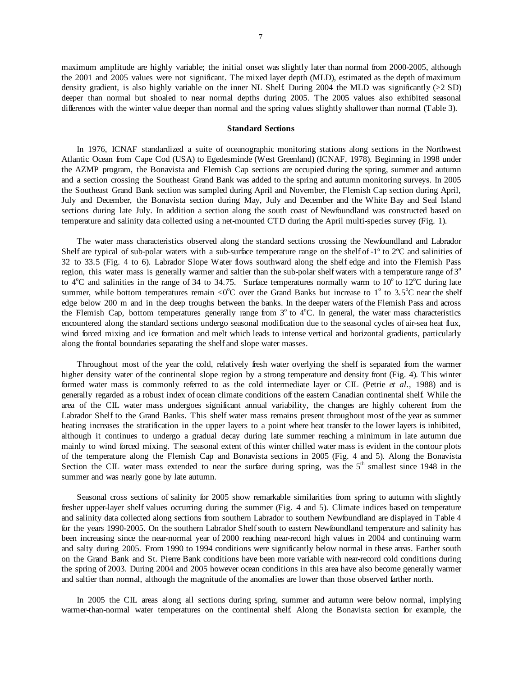maximum amplitude are highly variable; the initial onset was slightly later than normal from 2000-2005, although the 2001 and 2005 values were not significant. The mixed layer depth (MLD), estimated as the depth of maximum density gradient, is also highly variable on the inner NL Shelf. During 2004 the MLD was significantly  $(>2$  SD) deeper than normal but shoaled to near normal depths during 2005. The 2005 values also exhibited seasonal differences with the winter value deeper than normal and the spring values slightly shallower than normal (Table 3).

### **Standard Sections**

In 1976, ICNAF standardized a suite of oceanographic monitoring stations along sections in the Northwest Atlantic Ocean from Cape Cod (USA) to Egedesminde (West Greenland) (ICNAF, 1978). Beginning in 1998 under the AZMP program, the Bonavista and Flemish Cap sections are occupied during the spring, summer and autumn and a section crossing the Southeast Grand Bank was added to the spring and autumn monitoring surveys. In 2005 the Southeast Grand Bank section was sampled during April and November, the Flemish Cap section during April, July and December, the Bonavista section during May, July and December and the White Bay and Seal Island sections during late July. In addition a section along the south coast of Newfoundland was constructed based on temperature and salinity data collected using a net-mounted CTD during the April multi-species survey (Fig. 1).

The water mass characteristics observed along the standard sections crossing the Newfoundland and Labrador Shelf are typical of sub-polar waters with a sub-surface temperature range on the shelf of -1º to 2ºC and salinities of 32 to 33.5 (Fig. 4 to 6). Labrador Slope Water flows southward along the shelf edge and into the Flemish Pass region, this water mass is generally warmer and saltier than the sub-polar shelf waters with a temperature range of 3<sup>o</sup> to  $4^{\circ}$ C and salinities in the range of 34 to 34.75. Surface temperatures normally warm to  $10^{\circ}$  to  $12^{\circ}$ C during late summer, while bottom temperatures remain <0 $^{\circ}$ C over the Grand Banks but increase to 1 $^{\circ}$  to 3.5 $^{\circ}$ C near the shelf edge below 200 m and in the deep troughs between the banks. In the deeper waters of the Flemish Pass and across the Flemish Cap, bottom temperatures generally range from  $3^\circ$  to  $4^\circ$ C. In general, the water mass characteristics encountered along the standard sections undergo seasonal modification due to the seasonal cycles of air-sea heat flux, wind forced mixing and ice formation and melt which leads to intense vertical and horizontal gradients, particularly along the frontal boundaries separating the shelf and slope water masses.

 Throughout most of the year the cold, relatively fresh water overlying the shelf is separated from the warmer higher density water of the continental slope region by a strong temperature and density front (Fig. 4). This winter formed water mass is commonly referred to as the cold intermediate layer or CIL (Petrie *et al*., 1988) and is generally regarded as a robust index of ocean climate conditions off the eastern Canadian continental shelf. While the area of the CIL water mass undergoes significant annual variability, the changes are highly coherent from the Labrador Shelf to the Grand Banks. This shelf water mass remains present throughout most of the year as summer heating increases the stratification in the upper layers to a point where heat transfer to the lower layers is inhibited, although it continues to undergo a gradual decay during late summer reaching a minimum in late autumn due mainly to wind forced mixing. The seasonal extent of this winter chilled water mass is evident in the contour plots of the temperature along the Flemish Cap and Bonavista sections in 2005 (Fig. 4 and 5). Along the Bonavista Section the CIL water mass extended to near the surface during spring, was the  $5<sup>th</sup>$  smallest since 1948 in the summer and was nearly gone by late autumn.

Seasonal cross sections of salinity for 2005 show remarkable similarities from spring to autumn with slightly fresher upper-layer shelf values occurring during the summer (Fig. 4 and 5). Climate indices based on temperature and salinity data collected along sections from southern Labrador to southern Newfoundland are displayed in Table 4 for the years 1990-2005. On the southern Labrador Shelf south to eastern Newfoundland temperature and salinity has been increasing since the near-normal year of 2000 reaching near-record high values in 2004 and continuing warm and salty during 2005. From 1990 to 1994 conditions were significantly below normal in these areas. Farther south on the Grand Bank and St. Pierre Bank conditions have been more variable with near-record cold conditions during the spring of 2003. During 2004 and 2005 however ocean conditions in this area have also become generally warmer and saltier than normal, although the magnitude of the anomalies are lower than those observed farther north.

 In 2005 the CIL areas along all sections during spring, summer and autumn were below normal, implying warmer-than-normal water temperatures on the continental shelf. Along the Bonavista section for example, the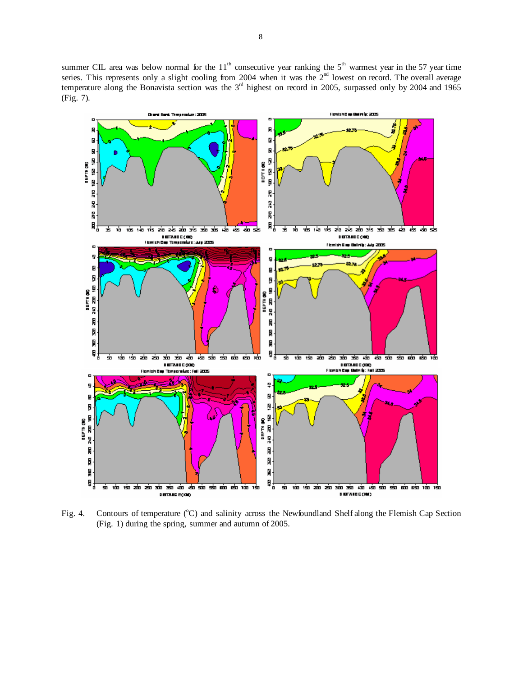summer CIL area was below normal for the  $11<sup>th</sup>$  consecutive year ranking the  $5<sup>th</sup>$  warmest year in the 57 year time series. This represents only a slight cooling from 2004 when it was the  $2^{nd}$  lowest on record. The overall average temperature along the Bonavista section was the  $3<sup>rd</sup>$  highest on record in 2005, surpassed only by 2004 and 1965 (Fig. 7).



Fig. 4. Contours of temperature (°C) and salinity across the Newfoundland Shelf along the Flemish Cap Section (Fig. 1) during the spring, summer and autumn of 2005.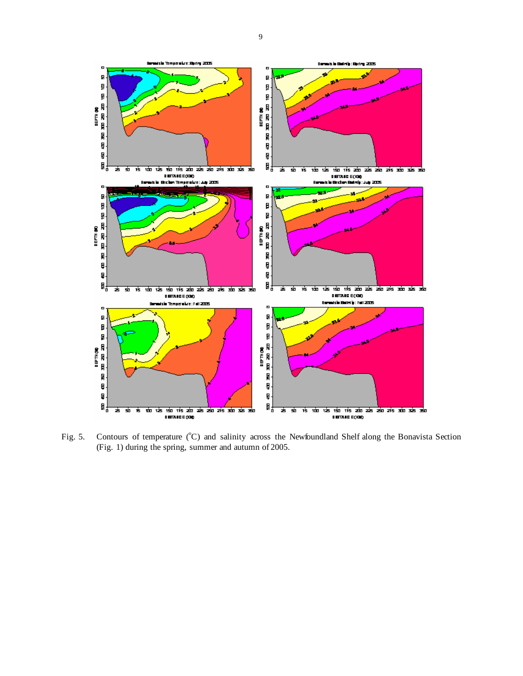

Fig. 5. Contours of temperature (°C) and salinity across the Newfoundland Shelf along the Bonavista Section (Fig. 1) during the spring, summer and autumn of 2005.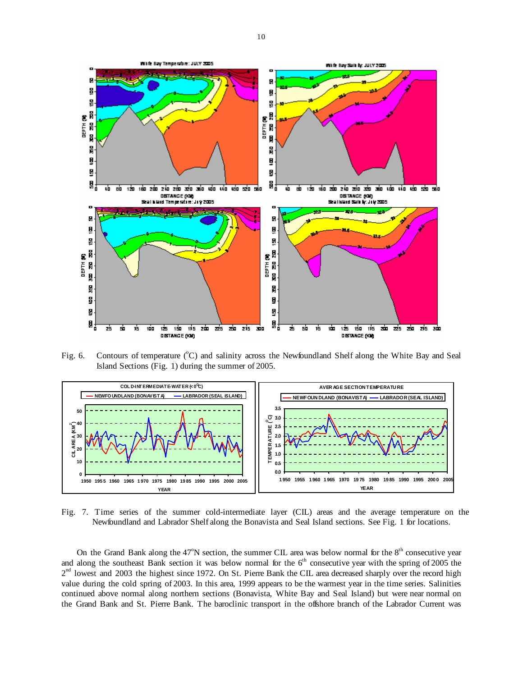

Fig. 6. Contours of temperature (°C) and salinity across the Newfoundland Shelf along the White Bay and Seal Island Sections (Fig. 1) during the summer of 2005.



Fig. 7. Time series of the summer cold-intermediate layer (CIL) areas and the average temperature on the Newfoundland and Labrador Shelf along the Bonavista and Seal Island sections. See Fig. 1 for locations.

On the Grand Bank along the  $47^{\circ}N$  section, the summer CIL area was below normal for the  $8^{\text{th}}$  consecutive year and along the southeast Bank section it was below normal for the  $6<sup>th</sup>$  consecutive year with the spring of 2005 the  $2<sup>nd</sup>$  lowest and 2003 the highest since 1972. On St. Pierre Bank the CIL area decreased sharply over the record high value during the cold spring of 2003. In this area, 1999 appears to be the warmest year in the time series. Salinities continued above normal along northern sections (Bonavista, White Bay and Seal Island) but were near normal on the Grand Bank and St. Pierre Bank. The baroclinic transport in the offshore branch of the Labrador Current was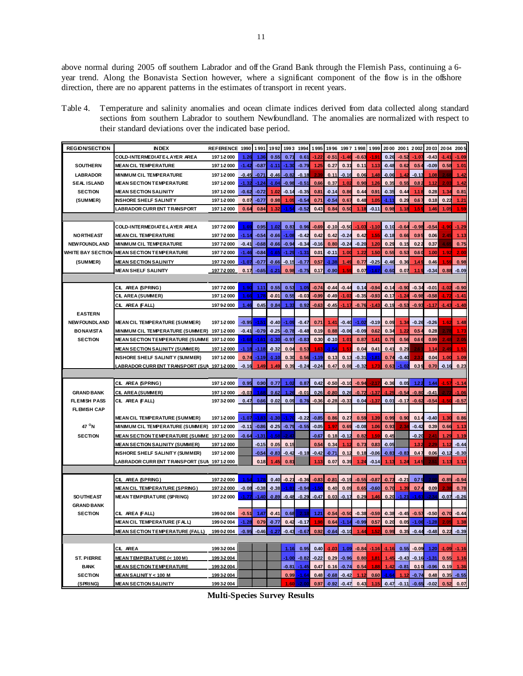above normal during 2005 off southern Labrador and off the Grand Bank through the Flemish Pass, continuing a 6 year trend. Along the Bonavista Section however, where a significant component of the flow is in the offshore direction, there are no apparent patterns in the estimates of transport in recent years.

Table 4. Temperature and salinity anomalies and ocean climate indices derived from data collected along standard sections from southern Labrador to southern Newfoundland. The anomalies are normalized with respect to their standard deviations over the indicated base period.

| <b>REGION/SECTION</b>              | <b>INDEX</b>                                               | REFERENCE 1990         |                    | 1991               | 1992             | 1993                     | 1994               | 1995         | 1996            | 1997 1998          |                    | 1999                | 2000            | 2001             | 2002                    | 2003            | 2004         | 2005            |
|------------------------------------|------------------------------------------------------------|------------------------|--------------------|--------------------|------------------|--------------------------|--------------------|--------------|-----------------|--------------------|--------------------|---------------------|-----------------|------------------|-------------------------|-----------------|--------------|-----------------|
|                                    | COLD-INTERMEDIATE-LAYER AREA                               | 1971-2000              | 1.26               | 1.36               | 0.55             | 0.71                     | 0.61               | $-1.22$      | 0.51            | $-1.46$            | $-0.63$            | $-1.91$             | 0.26            | $-0.52$          | $-1.07$                 | $-0.43$         | $-1.41$      | $-1.09$         |
| <b>SOUTHERN</b>                    | <b>MEAN CIL TEMPERATURE</b>                                | 1971-2000              | $-1.42$            | $-0.87$            | 4.11             | $-1.30$                  | $-0.79$            | 1.25         | 0.27            | 0.31               | 0.11               | 1.13                | 0.48            | 0.62             | 0.54                    | $-0.09$         | 0.58         | 1.01            |
| <b>LABRADOR</b>                    | <b>MINIMUM CIL TEMPERATURE</b>                             | 1971-2000              | $-0.45$            | $-0.71$            | 0.46             | $-0.82$                  | $-0.18$            | 2.39         | 0.11            | $-0.16$            | 0.06               | 1.48                | $-0.06$         | 1.42             | $-0.13$                 | 1.08            |              | 1.42            |
| <b>SEAL ISLAND</b>                 | <b>MEAN SECTION TEMPERATURE</b>                            | 1971-2000              | $-1.32$            | $-1.24$            | $-1.04$          | $-0.98$                  | $-0.51$            | 0.66         | 0.37            | 1.0                | 0.90               | 1.26                | 0.35            | 0.55             | 0.8 <sub>2</sub>        | 1.12            | 2.0          | 1.42            |
| <b>SECTION</b>                     | <b>MEAN SECTION SALINITY</b>                               | 1971-2000              | $-0.62$            | $-0.72$            | 1.02             | $-0.14$                  | $-0.35$            | 0.81         | $-0.14$         | 0.86               | 0.44               | 0.91                | $-0.35$         | 0.44             | 1.18                    | 0.28            | 1.34         | 0.81            |
| (SUMMER)                           | <b>INSHORE SHELF SALINITY</b>                              | 1971-2000              | 0.07               | $-0.77$            | 0.98             | 1.05                     | $-0.54$            | 0.71         | 0.54            | 0.67               | 0.48               | 1.05                | 4.11            | 0.29             | 0.67                    | 0.18            | 0.22         | 1.21            |
|                                    | <b>LABRADOR CURRENT TRANSPORT</b>                          | 1971-2000              | 0.64               | 0.84               | 1.32             | $-1.54$                  | $-0.52$            | 0.43         | 0.84            | 0.50               | 1.18               | $-0.11$             | 0.98            | 1.18             | 1.5 <sub>1</sub>        | 1.46            | 1.05         | 1.59            |
|                                    |                                                            |                        |                    |                    |                  |                          |                    |              |                 |                    |                    |                     |                 |                  |                         |                 |              |                 |
|                                    | COLD-INTERMEDIATE LAYER AREA                               | 1977-2000              | 1.69               | 0.95               | 1.02             | 0.83                     | 0.96               | $-0.69$      | 0.10            | $-0.50$            | $-1.0$             | $-1.10$             | 0.10            | $-0.64$          | $-0.98$                 | $-0.54$         | $-1.90$      | $-1.29$         |
| <b>NO RTHEAST</b>                  | <b>MEAN CIL TEMPERATURE</b>                                | 1977-2000              | $-1.14$            | $-0.54$            | 0.66             | $-1.08$                  | $-0.42$            | 0.42         | 0.42            | $-0.24$            | 0.42               | 1.55                | 0.18            | 0.66             | 0.9 <sub>5</sub>        | 0.06            | 2.45         | 1.13            |
| <b>NEW FOUNDL AND</b>              | <b>MINIMUM CIL TEMPERATURE</b>                             | 1977-2000              | $-0.41$            | $-0.68$            | 0.66             | -0.94                    | $-0.34$            | $-0.16$      | 0.80            | $-0.24$            | $-0.20$            | 1.20                | 0.29            | 0.15             | 0.2                     | 0.37            | 4.6          | 0.75            |
| <b>WHITE BAY SECTION</b>           | <b>MEAN SECTION TEMPERATURE</b>                            | 1977-2000              | $-1.46$            | $-0.84$            | $-1.65$          | $-1.29$                  | $-1.31$            | 0.01         | $-0.11$         | 1.00               | 1.22               | 1.50                | 0.55            | 0.5              | 0.6 <sub>0</sub>        | 1.00            | 1.92         | 2.00            |
|                                    |                                                            |                        | $-1.07$            | $-0.77$            |                  |                          |                    |              |                 |                    | 0.77               | $-0.25$             |                 |                  |                         |                 | 1.5          |                 |
| (SUMMER)                           | <b>MEAN SECTION SALINITY</b><br><b>MEAN SHELF SALINITY</b> | 1977-2000<br>1977-2000 | 0.17               | $-0.65$            | 0.66<br>$-1, 21$ | $-0.15$<br>0.98          | $-0.77$<br>$-0.75$ | 0.57<br>0.17 | $-1.38$<br>0.90 | 1.49<br>1.59       | 0.07               | $-1.67$             | 0.40<br>$-0.60$ | 0.36<br>0.07     | 1.4<br>1.1 <sub>9</sub> | 0.46<br>$-0.34$ | 0.88         | 0.98<br>$-0.09$ |
|                                    |                                                            |                        |                    |                    |                  |                          |                    |              |                 |                    |                    |                     |                 |                  |                         |                 |              |                 |
|                                    |                                                            | 1977-2000              | 1.90               | 1.11               | 0.55             | 0.53                     | 1.05               | $-0.74$      | $-0.44$         | $-0.4$             | 0.14               | $-0.94$             | $-0.1$          | $-0.90$          | $-0.3$                  | $-0.01$         | $-1.02$      | $-0.90$         |
|                                    | CIL AREA (SPRING)<br>CIL AREA (SUMMER)                     | 1971-2000              | 1.66               | 1.78               | 0.01             | 0.55                     | $-0.03$            | $-0.99$      | 0.49            | $-1.0$             | $-0.35$            | $-0.93$             | $-0.17$         | $-1.2$           | $-0.98$                 | $-0.58$         | $-1.7$       | $-1.41$         |
|                                    |                                                            |                        | 1.46               |                    | 0.84             | 1.33                     | 0.92               | $-0.63$      | $-0.45$         | $-1.1$             | $-0.76$            | $-1.43$             | $-0.19$         |                  |                         | 4.17            | $-1.4$       | $-1.40$         |
|                                    | CIL AREA (FALL)                                            | 1979-2000              |                    | 0.45               |                  |                          |                    |              |                 |                    |                    |                     |                 | $-0.5$           | $-0.93$                 |                 |              |                 |
| <b>EASTERN</b>                     |                                                            |                        |                    |                    |                  |                          |                    |              |                 |                    |                    |                     |                 |                  |                         |                 |              |                 |
| <b>NEW FOUNDL AND</b>              | <b>MEAN CIL TEMPERATURE (SUMMER)</b>                       | 1971-2000              | $-0.95$            | $-1.51$            | 0.40<br>$-0.25$  | $-1.09$<br>$-0.78$       | $-0.47$<br>$-0.48$ | 0.71<br>0.19 | 1.41            | $-0.40$<br>$-0.06$ | $-1.02$<br>$-0.09$ | $-0.19$             | 0.09<br>0.34    | 1.3<br>$1.2^{1}$ | $-0.26$<br>0.54         | $-0.26$<br>0.28 | 1.61         | 1.48<br>1.73    |
| <b>BONAVISTA</b><br><b>SECTION</b> | <b>MINIMUM CIL TEMPERATURE (SUMMER)</b>                    | 1971-2000              | $-0.41$<br>$-1.68$ | $-0.79$<br>$-1.61$ | $-1.30$          | $-0.97$                  | $-0.83$            | 0.30         | 0.88            |                    | 0.87               | 0.62                | 0.75            | 0.56             | 0.66                    | 0.99            | 2.48         |                 |
|                                    | MEAN SECTION TEMPERATURE (SUMME 1971-2000                  |                        |                    |                    |                  |                          |                    |              | $-0.10$         | $1.0^{\circ}$      |                    | 141                 |                 |                  |                         |                 |              | 2.05            |
|                                    | <b>MEAN SECTION SALINITY (SUMMER)</b>                      | 1971-2000              | $-1.18$            | -1.18              | 0.32             | 0.04                     | 0.5                | 16           | 4.54            | 1.5                | 0.04               | 0.41                | 0.41            | 0.29             | 2.6                     | 1.14            | 2,4          | 1.51            |
|                                    | <b>INSHORE SHELF SALINITY (SUMMER)</b>                     | 1971-2000              | 0.74               | $-1.19$            | $-1.10$          | 0.30                     | 0.56               | $-1.19$      | 0.13            | 0.13               | $-0.31$            | 1.81                | 0.74            | $-0.40$          | 2 <sub>3</sub>          | 0.04            | 1.00         | 1.09            |
|                                    | LABRADOR CURR ENT TRANSPORT (SUI 1971-2000                 |                        | $-0.16$            | 1.49               | 1.49             | 0.39                     | $-0.24$            | $-0.24$      | 0.47            | 0.08               | $-0.32$            | 1.73                | 0.63            | $-1.02$          | 0.39                    | 0.70            | $-0.16$      | 0.23            |
|                                    |                                                            |                        | 0.95               | 0.90               |                  |                          |                    | 0.42         | $-0.50$         |                    | $-0.94$            | $-2.1$ <sup>2</sup> | $-0.36$         | 0.05             | 1.22                    |                 | $-1.57$      |                 |
|                                    | CIL AREA (SPRING)                                          | 1971-2000              |                    |                    | 0.77             | 1.02                     | 0.87               |              |                 | $-0.10$            |                    |                     |                 |                  |                         | 1.44            |              | $-1.14$         |
| <b>GRAND BANK</b>                  | CIL AREA (SUMMER)                                          | 1971-2000              | $-0.03$            | 1.6                | 0.62             |                          | $-0.0$             | 0.26         | 0.80            | 0.26               | $-0.72$            | 1.3                 | 1.25            | $-0.5$           | 0.80                    | $-0.41$         |              | $-1.06$         |
| <b>FLEMISH PASS</b>                | CIL AREA (FALL)                                            | 1973-2000              | 0.47               | 0.66               | 0.02             | 0.09                     | 0.76               | $-0.36$      | 0.28            | $-0.33$            | 0.04               | $-1.37$             | 0.01            | $-0.17$          | $-0.62$                 | 0.54            | $-1.50$      | $-0.57$         |
| <b>FLEMISH CAP</b>                 |                                                            |                        | $-1.07$            | $-1.83$            | $-1.30$          |                          |                    | $-0.85$      |                 |                    |                    | 1.39                |                 |                  |                         |                 | 1.30         |                 |
| 47 <sup>o</sup> N                  | <b>MEAN CIL TEMPERATURE (SUMMER)</b>                       | 1971-2000              |                    |                    | $-0.25$          | $-1.70$<br>$-0.79$       | $-0.22$            |              | 0.86            | 0.27               | 0.59               |                     | 0.99            | 0.90<br>2.3      | 0.1                     | $-0.40$         |              | 0.86            |
|                                    | <b>MINIMUM CIL TEMPERATURE (SUMMER)</b>                    | 1971-2000              | $-0.11$            | $-0.86$            |                  |                          | $-0.55$            | $-0.05$      | 1.97            | 0.69               | $-0.08$            | 1.06                | 0.93            |                  | $-0.42$                 | 0.39            | 0.66         | 1.13            |
| <b>SECTION</b>                     | MEAN SECTION TEMPERATURE (SUMME 1971-2000                  |                        | $-0.64$            | $-1.31$            | 1.58             | 24                       |                    | $-0.67$      | 0.18            | $-0.12$            | 0.82               | 1.59                | 0.45            |                  | $-0.20$                 | 241             | 1.29         | 1.19            |
|                                    | <b>MEAN SECTION SALINITY (SUMMER)</b>                      | 1971-2000              |                    | $-0.15$            | 0.05             | 0.15                     |                    | 0.54         | 0.34            | 1.1                | 0.73               | 0.83                | $-0.05$         |                  | 1.3                     | וכי כ           | 1.1          | $-0.44$         |
|                                    | <b>INSHORE SHELF SALINITY (SUMMER)</b>                     | 1971-2000              |                    | $-0.54$<br>0.18    | 0.83             | $-0.42$<br>$0.8^{\circ}$ | $-0.18$            | $-0.42$      | 0.71<br>0.07    | 0.12               | 0.18<br>1.24       | $-0.06$             | 0.83<br>1.13    | $-0.83$          | 0.47<br>145             | 0.06            | 0.12<br>1.13 | $-0.30$         |
|                                    | LABRADOR CURR ENT TRANSPORT (SUI 1971-2000                 |                        |                    |                    | 1.45             |                          |                    | 1.13         |                 | 0.39               |                    | $-0.14$             |                 | 1.2 <sub>6</sub> |                         |                 |              | 1.13            |
|                                    |                                                            |                        |                    |                    |                  |                          |                    |              |                 |                    |                    |                     |                 |                  |                         |                 |              |                 |
|                                    | CIL AREA (SPRING)                                          | 1972-2000              | 1.54               | 1.78               | 0.40             | $-0.21$<br>$4.8^{\circ}$ | $-0.36$            | $-0.83$      | 0.81            | $-0.19$            | $-0.55$            | $-0.87$             | 0.73            | $-0.21$          | 0.79                    |                 | $-0.85$      | $-0.94$         |
|                                    | <b>MEAN CIL TEMPERATURE (SPRING)</b>                       | 1972-2000              | $-0.08$            | $-0.38$            | 0.38             |                          | $-0.94$            |              | 0.40            | 0.09               | 0.65               | $-0.60$             | 0.70            | 1.3              | 0.7 <sub>0</sub>        | 0.09<br>$-2.3$  | 0.07         | 0.78            |
| <b>SO UTHE AST</b>                 | <b>MEAN TEMPERATURE (SPRING)</b>                           | 197 2-2 000            | $-1.7$             | $-1.40$            | 0.89             | $-0.48$                  | $-0.29$            | $-0.47$      | 0.03            | -0.17              | 0.29               | 1.40                | 0.20            | $-1.21$          | $-1.61$                 |                 |              | $-0.26$         |
| <b>GRAND BANK</b>                  |                                                            |                        |                    |                    |                  |                          | 2.1                |              |                 |                    |                    |                     |                 |                  |                         |                 |              |                 |
| <b>SECTION</b>                     | CIL AREA (FALL)                                            | 1990-2004              | $-0.5$             | 147                | 0.41             | 0.68                     |                    | 1.21         | $-0.54$         | $-0.50$            | $-0.38$            | $-0.59$             | 0.38            | $-0.45$          | $-0.57$                 | $-0.50$         | $-0.70$      | $-0.44$         |
|                                    | <b>MEAN CIL TEMPERATURE (FALL)</b>                         | 1990-2004              | $-1.28$            | 0.79               | 0.77             | 0.42                     | $-0.17$            | 1.98         | 0.64            | $-1.14$            | $-0.99$            | 0.57                | 0.20            | 0.05             | $-1.06$                 | $-1.28$         | 2.0          | 1.38            |
|                                    | <b>MEAN SECTION TEMPERATURE (FALL)</b>                     | 1990-2004              | $-0.95$            | $-0.46$            | 1.27             | $-0.43$                  | $-0.67$            | 0.92         | 0.64            | $-0.10$            | 1.4                | 1.51                | 0.99            | 0.35             | $-0.44$                 | $-0.48$         | 0.22         | $-0.39$         |
|                                    |                                                            |                        |                    |                    |                  |                          |                    |              |                 |                    |                    |                     |                 |                  |                         |                 |              |                 |
|                                    | CIL AREA                                                   | 1993-2004              |                    |                    |                  | 1.16                     | 0.95               | 0.40         | 1.03            | 1.09               | $-0.84$            | 1.16                | 4.16            | 0.55             | $-0.09$                 | 1.20            | $-1.09$      | $-1.16$         |
| <b>ST. PIERRE</b>                  | MEAN TEMPERATURE (< 100 M)                                 | 1993-2004              |                    |                    |                  | $-1.00$                  | $-0.82$            | $-0.22$      | 0.29            | $-0.96$            | 0.80               | 1.81                | 1.45            | $-0.43$          | $-0.16$                 | $-1.31$         | 0.55         | 1.16            |
| <b>BANK</b>                        | <b>MEAN SECTION TEMPERATURE</b>                            | 1993-2004              |                    |                    |                  | $-0.81$                  | $-1.45$            | 0.47         | 0.16            | $-0.74$            | 0.54               | 1.88                | 1.42            | $-0.81$          | 0.10                    | $-0.96$         | 0.19         | 1.36            |
| <b>SECTION</b>                     | <b>MEAN SALINITY &lt; 100 M</b>                            | 19932004               |                    |                    |                  | 0.99<br>1.60             | $-1.64$<br>$-2.0$  | 0.48<br>0.97 | 8a.0            | $-0.42$            | 1.12               | 0.60                | 1.64            | 1.12             | $-0.74$                 | 0.48            | 0.35         | $-0.55$         |
| (SPRING)                           | <b>MEAN SECTION SALINITY</b>                               | 1993-2004              |                    |                    |                  |                          |                    |              | 0.92            | $-0.47$            | 0.43               | 1.15                | $-0.47$         | $-0.11$          | $-0.65$                 | $-0.02$         | 0.52         | 0.07            |

**Multi-Species Survey Results**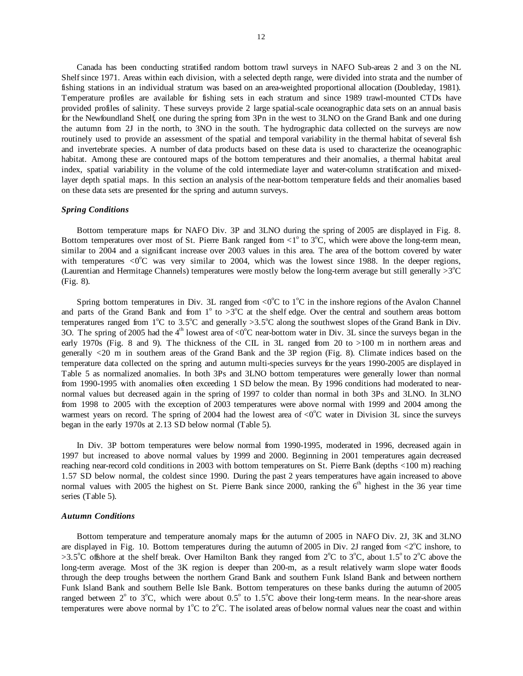Canada has been conducting stratified random bottom trawl surveys in NAFO Sub-areas 2 and 3 on the NL Shelf since 1971. Areas within each division, with a selected depth range, were divided into strata and the number of fishing stations in an individual stratum was based on an area-weighted proportional allocation (Doubleday, 1981). Temperature profiles are available for fishing sets in each stratum and since 1989 trawl-mounted CTDs have provided profiles of salinity. These surveys provide 2 large spatial-scale oceanographic data sets on an annual basis for the Newfoundland Shelf, one during the spring from 3Pn in the west to 3LNO on the Grand Bank and one during the autumn from 2J in the north, to 3NO in the south. The hydrographic data collected on the surveys are now routinely used to provide an assessment of the spatial and temporal variability in the thermal habitat of several fish and invertebrate species. A number of data products based on these data is used to characterize the oceanographic habitat. Among these are contoured maps of the bottom temperatures and their anomalies, a thermal habitat areal index, spatial variability in the volume of the cold intermediate layer and water-column stratification and mixedlayer depth spatial maps. In this section an analysis of the near-bottom temperature fields and their anomalies based on these data sets are presented for the spring and autumn surveys.

# *Spring Conditions*

 Bottom temperature maps for NAFO Div. 3P and 3LNO during the spring of 2005 are displayed in Fig. 8. Bottom temperatures over most of St. Pierre Bank ranged from  $\langle 1^\circ$  to  $3^\circ$ C, which were above the long-term mean, similar to 2004 and a significant increase over 2003 values in this area. The area of the bottom covered by water with temperatures  $\langle 0^{\circ}$ C was very similar to 2004, which was the lowest since 1988. In the deeper regions, (Laurentian and Hermitage Channels) temperatures were mostly below the long-term average but still generally  $>3$ <sup>o</sup>C (Fig. 8).

Spring bottom temperatures in Div. 3L ranged from  $\langle 0^{\circ}C \rangle$  to  $1^{\circ}C$  in the inshore regions of the Avalon Channel and parts of the Grand Bank and from  $1^\circ$  to  $>3^\circ$ C at the shelf edge. Over the central and southern areas bottom temperatures ranged from  $1^{\circ}$ C to 3.5°C and generally > 3.5°C along the southwest slopes of the Grand Bank in Div. 3O. The spring of 2005 had the  $4<sup>th</sup>$  lowest area of <0 $^{\circ}$ C near-bottom water in Div. 3L since the surveys began in the early 1970s (Fig. 8 and 9). The thickness of the CIL in 3L ranged from 20 to  $>100$  m in northern areas and generally <20 m in southern areas of the Grand Bank and the 3P region (Fig. 8). Climate indices based on the temperature data collected on the spring and autumn multi-species surveys for the years 1990-2005 are displayed in Table 5 as normalized anomalies. In both 3Ps and 3LNO bottom temperatures were generally lower than normal from 1990-1995 with anomalies often exceeding 1 SD below the mean. By 1996 conditions had moderated to nearnormal values but decreased again in the spring of 1997 to colder than normal in both 3Ps and 3LNO. In 3LNO from 1998 to 2005 with the exception of 2003 temperatures were above normal with 1999 and 2004 among the warmest years on record. The spring of 2004 had the lowest area of  $\langle 0^{\circ}C \rangle$  water in Division 3L since the surveys began in the early 1970s at 2.13 SD below normal (Table 5).

In Div. 3P bottom temperatures were below normal from 1990-1995, moderated in 1996, decreased again in 1997 but increased to above normal values by 1999 and 2000. Beginning in 2001 temperatures again decreased reaching near-record cold conditions in 2003 with bottom temperatures on St. Pierre Bank (depths <100 m) reaching 1.57 SD below normal, the coldest since 1990. During the past 2 years temperatures have again increased to above normal values with 2005 the highest on St. Pierre Bank since 2000, ranking the  $6<sup>th</sup>$  highest in the 36 year time series (Table 5).

### *Autumn Conditions*

 Bottom temperature and temperature anomaly maps for the autumn of 2005 in NAFO Div. 2J, 3K and 3LNO are displayed in Fig. 10. Bottom temperatures during the autumn of 2005 in Div. 2J ranged from  $\langle 2^{\circ}$ C inshore, to >3.5°C offshore at the shelf break. Over Hamilton Bank they ranged from  $2^{\circ}$ C to  $3^{\circ}$ C, about 1.5° to  $2^{\circ}$ C above the long-term average. Most of the 3K region is deeper than 200-m, as a result relatively warm slope water floods through the deep troughs between the northern Grand Bank and southern Funk Island Bank and between northern Funk Island Bank and southern Belle Isle Bank. Bottom temperatures on these banks during the autumn of 2005 ranged between  $2^{\circ}$  to  $3^{\circ}$ C, which were about  $0.5^{\circ}$  to  $1.5^{\circ}$ C above their long-term means. In the near-shore areas temperatures were above normal by  $1^{\circ}C$  to  $2^{\circ}C$ . The isolated areas of below normal values near the coast and within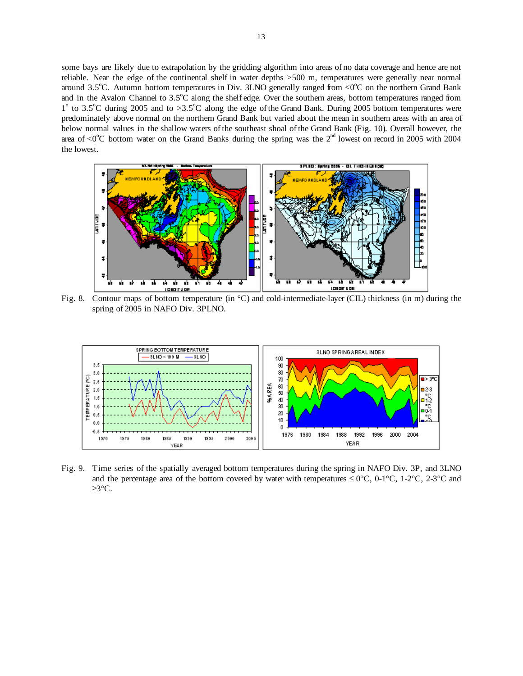some bays are likely due to extrapolation by the gridding algorithm into areas of no data coverage and hence are not reliable. Near the edge of the continental shelf in water depths >500 m, temperatures were generally near normal around 3.5°C. Autumn bottom temperatures in Div. 3LNO generally ranged from  $\langle 0^{\circ}$ C on the northern Grand Bank and in the Avalon Channel to  $3.5^{\circ}$ C along the shelf edge. Over the southern areas, bottom temperatures ranged from  $1^{\circ}$  to 3.5<sup>o</sup>C during 2005 and to >3.5<sup>o</sup>C along the edge of the Grand Bank. During 2005 bottom temperatures were predominately above normal on the northern Grand Bank but varied about the mean in southern areas with an area of below normal values in the shallow waters of the southeast shoal of the Grand Bank (Fig. 10). Overall however, the area of  $\langle 0^{\circ}$ C bottom water on the Grand Banks during the spring was the  $2^{nd}$  lowest on record in 2005 with 2004 the lowest.



Fig. 8. Contour maps of bottom temperature (in °C) and cold-intermediate-layer (CIL) thickness (in m) during the spring of 2005 in NAFO Div. 3PLNO.



Fig. 9. Time series of the spatially averaged bottom temperatures during the spring in NAFO Div. 3P, and 3LNO and the percentage area of the bottom covered by water with temperatures  $\leq 0^{\circ}C$ , 0-1°C, 1-2°C, 2-3°C and ≥3°C.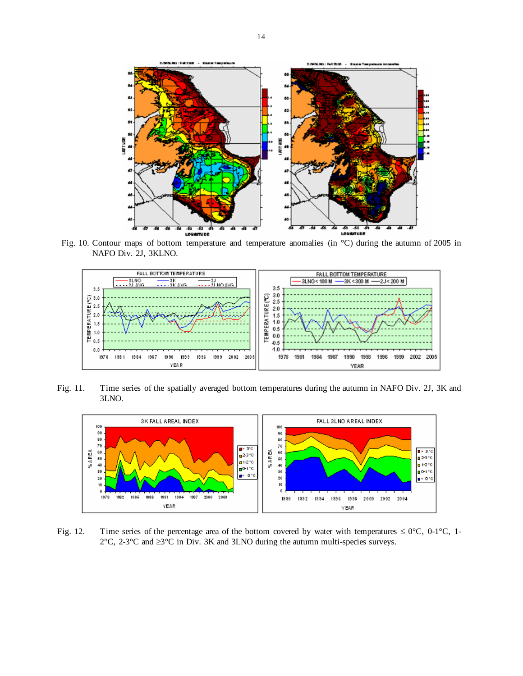

Fig. 10. Contour maps of bottom temperature and temperature anomalies (in °C) during the autumn of 2005 in NAFO Div. 2J, 3KLNO.



Fig. 11. Time series of the spatially averaged bottom temperatures during the autumn in NAFO Div. 2J, 3K and 3LNO.



Fig. 12. Time series of the percentage area of the bottom covered by water with temperatures  $\leq 0^{\circ}C$ , 0-1°C, 1-2°C, 2-3°C and  $\geq$ 3°C in Div. 3K and 3LNO during the autumn multi-species surveys.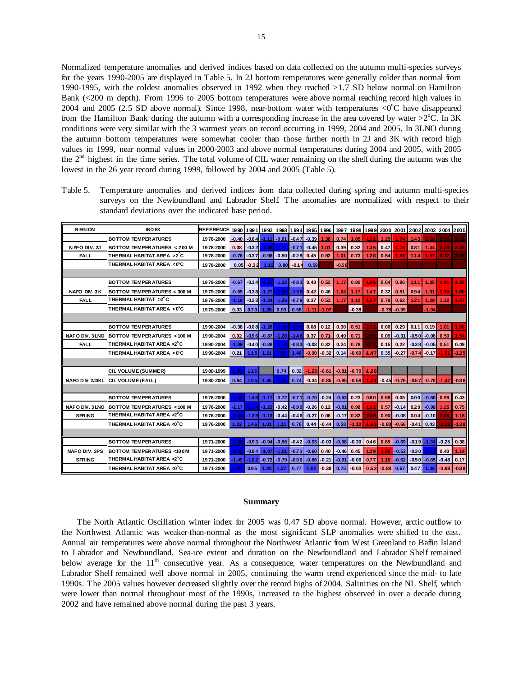Normalized temperature anomalies and derived indices based on data collected on the autumn multi-species surveys for the years 1990-2005 are displayed in Table 5. In 2J bottom temperatures were generally colder than normal from 1990-1995, with the coldest anomalies observed in 1992 when they reached >1.7 SD below normal on Hamilton Bank (<200 m depth). From 1996 to 2005 bottom temperatures were above normal reaching record high values in 2004 and 2005 (2.5 SD above normal). Since 1998, near-bottom water with temperatures  $\lt 0^\circ$ C have disappeared from the Hamilton Bank during the autumn with a corresponding increase in the area covered by water  $>2^{\circ}C$ . In 3K conditions were very similar with the 3 warmest years on record occurring in 1999, 2004 and 2005. In 3LNO during the autumn bottom temperatures were somewhat cooler than those further north in 2J and 3K with record high values in 1999, near normal values in 2000-2003 and above normal temperatures during 2004 and 2005, with 2005 the  $2<sup>nd</sup>$  highest in the time series. The total volume of CIL water remaining on the shelf during the autumn was the lowest in the 26 year record during 1999, followed by 2004 and 2005 (Table 5).

Table 5. Temperature anomalies and derived indices from data collected during spring and autumn multi-species surveys on the Newfoundland and Labrador Shelf. The anomalies are normalized with respect to their standard deviations over the indicated base period.

| <b>REGION</b>        | <b>IND EX</b>                               | REFERENCE 1990 1991 |         |          |                 | 1992 1993               | 1994            | 1995    | 1996    | 1997    | 1998    | 1999            | 2000 2001 |         |         |                |         | 2002 2003 2004 2005 |
|----------------------|---------------------------------------------|---------------------|---------|----------|-----------------|-------------------------|-----------------|---------|---------|---------|---------|-----------------|-----------|---------|---------|----------------|---------|---------------------|
|                      | <b>BOTTOM TEMPER ATURES</b>                 | 1978-2000           | $-0.40$ | $-0.04$  |                 | $-1.11$ $-0.61$         | $-0.47$         | $-0.39$ | 1.38    | 0.74    | 1.05    | 1.9             | 1.25      | 1.74    | 143     | 2.28           | 2.56    | 2.51                |
| NAFO DIV. 2J         | BOTTOM TEMPER ATURES < 200 M                | 1978-2000           | 0.08    | -0.3 2ll | $-1.68$         | $-1.71$                 | $-0.71$         | $-0.45$ | 1.01    | 0.39    | 0.32    | 1.36            | 0.47      | 1.78    | 0.81    | 1.44           | 2.28    | 2.35                |
| <b>FALL</b>          | THERMAL HABITAT AREA >2°C                   | 1978-2000           | $-0.76$ | $-0.37$  | $-0.96$         | $-0.50$                 | $-0.28$         | 0.45    | 0.92    | 1.01    | 0.73    | 1.28            | 0.54      | 1.53    | 1.14    | 1.57           | 2.17    | 2.70                |
|                      | THERMAL HABITAT AREA <0°C                   | 1978-2000           | 0.05    | $-0.32$  | 1.15            | 0.80                    | $-0.14$         | 0.59    |         | $-0.58$ |         |                 |           |         |         |                |         |                     |
|                      |                                             |                     |         |          |                 |                         |                 |         |         |         |         |                 |           |         |         |                |         |                     |
|                      | <b>BOTTOM TEMPER ATURES</b>                 | 1979-2000           | $-0.67$ | $-0.34$  |                 | $-1.51$ $-1.32$         | $-0.83$         | 0.43    | 0.52    | 1.17    | 0.80    | 1.96            | 0.64      | 0.86    | 1.11    | 1.35           | 1.91    | 1.82                |
| NAFO DIV.3K          | <b>BOTTOM TEMPER ATURES &lt; 300 M</b>      | 1979-2000           | $-0.69$ | $-0.38$  | $-1.27$         | $-1.80$                 | $-1.39$         | 0.42    | 0.46    | 1.04    | 1.17    | 1.47            | 0.32      | 0.51    | 0.94    | 1.31           | 1.74    | 1.60                |
| <b>FALL</b>          | THERMAL HABITAT >2°C                        | 1979-2000           | $-1.19$ | $-0.23$  | $-1.34$         | $-1.26$                 | $-0.79$         | 0.37    | 0.53    | 1.17    | 1.10    | 1.87            | 0.79      | 0.62    | 1.21    | 1.29           | 1.32    | 1.67                |
|                      | THERMAL HABITAT AREA <0°C                   | 1979-2000           | 0.33    | 0.70     | 1.28            | 0.93                    | 0.56            | -1.11   | -1.07   |         | $-0.38$ |                 | -0.78l    | $-0.99$ |         | $-1.04$        |         |                     |
|                      |                                             |                     |         |          |                 |                         |                 |         |         |         |         |                 |           |         |         |                |         |                     |
|                      | <b>BOTTOM TEMPER ATURES</b>                 | 1990-2004           | $-0.38$ | $-0.08$  |                 | $-1.26$ $-1.69$         | $-1.58$         | 0.08    | 0.12    | 0.30    | 0.51    | 232             | 0.06      | 0.29    | 0.11    | 0.19           | 1.01    | 1.98                |
|                      | NAFO DIV. 3 LNO BOTTOM TEMPER ATURES <100 M | 1990-2004           | 0.02    | -0.961   |                 | $-0.87$ $-1.28$ $-1.46$ |                 | 0.37    | 0.71    | 0.49    | 0.71    |                 | 0.09      | $-0.31$ | -0.50   | $-0.08$        | 0.50    | 1.54                |
| <b>FALL</b>          | THERMAL HABITAT AREA >2°C                   | 1990-2004           | $-1.09$ | $-0.40$  | $-0.88$         |                         | $-1.73$ $-0.83$ | $-0.08$ | 0.32    | 0.24    | 0.78    |                 | 0.15      | 0.22    | -0.3 8l | $-0.05$        | 0.51    | 0.49                |
|                      | THERMAL HABITAT AREA <0°C                   | 1990-2004           | 0.21    | 1.151    | 1.21            | 1.55                    | 1.46            | $-0.90$ | $-0.32$ | 0.14    | $-0.69$ | $-1.47$         | 0.35      | $-0.27$ | -0.741  | $-0.17$        | $-1.51$ | $-1.25$             |
|                      |                                             |                     |         |          |                 |                         |                 |         |         |         |         |                 |           |         |         |                |         |                     |
|                      | CIL VOLUME (SUMMER)                         | 1980-1999           | 1.90    | 1.16     |                 | 0.74                    | 0.32            | $-1.23$ | $-0.61$ | $-0.81$ |         | $-0.70$ $-1.28$ |           |         |         |                |         |                     |
|                      | NAFO DIV 2J3KL CIL VOLUME (FALL)            | 1980-2004           | 0.94    | 1.051    | 1.46            | 1.55                    | 0.74            | $-0.34$ | $-0.85$ | -0.85l  | $-0.58$ | $-1.81$         | $-0.45$   | $-0.76$ | $-0.57$ | $-0.78$        | $-1.47$ | $-0.86$             |
|                      |                                             |                     |         |          |                 |                         |                 |         |         |         |         |                 |           |         |         |                |         |                     |
|                      | <b>BOTTOM TEMPER ATURES</b>                 | 1976-2000           | $-1.66$ | $-1.49$  |                 | $-1.11$ $-0.72$         | $-0.71$         | $-0.70$ | $-0.24$ | $-0.53$ | 0.23    | 0.60            | 0.58      | 0.05    | 0.00    | $-0.50$        | 0.99    | 0.43                |
|                      | NAFO DIV. 3 LNO BOTTOM TEMPER ATURES <100 M | 1976-2000           | -1.17   | -1.541   |                 | $-1.22$ -0.42           | $-0.99$         | $-0.26$ | 0.12    | $-0.81$ | 0.98    | 1.82            | 0.57      | $-0.14$ | 0.20    | $-0.98$        | 1.25    | 0.75                |
| <b>SPRING</b>        | THERMAL HABITAT AREA >2°C                   | 1976-2000           | $-1.54$ | -1.39 I  |                 | $-1.13$ $-0.44$         | $-0.46$         | $-0.27$ | 0.06    | $-0.17$ | 0.82    | 2.00            | 0.90      | $-0.08$ | 0.04    | $-0.10$        | 2.05    | 1.18                |
|                      | THERMAL HABITAT AREA <0°C                   | 1976-2000           | 1.02    | 1.46     | 1.01            | 1.11                    | 0.76            | 0.44    | $-0.44$ | 0.58    | $-1.10$ | $-1.65$         | $-0.80$   | $-0.66$ | $-0.41$ | 0.43           | $-2.13$ | $-1.38$             |
|                      |                                             |                     |         |          |                 |                         |                 |         |         |         |         |                 |           |         |         |                |         |                     |
|                      | <b>BOTTOM TEMPER ATURES</b>                 | 1971-2000           | $-1.56$ | $-0.93$  | $-0.94$         | $-0.56$                 | $-0.42$         | $-0.93$ | $-0.03$ | $-0.58$ | $-0.30$ | 0.46            | 0.65      | $-0.69$ | $-0.19$ | $-1.34 - 0.25$ |         | 0.38                |
| <b>NAFO DIV. 3PS</b> | <b>BOTTOM TEMPER ATURES &lt;100M</b>        | 1971-2000           | $-1.65$ | $-0.94$  | $-1.07$         | $-1.01$                 | $-0.73$         | $-0.60$ | 0.40    | $-0.46$ | 0.45    | 1.29            | 1.58      | $-0.53$ | $-0.30$ | $-1.57$        | 0.40    | 1.14                |
| <b>SPRING</b>        | THERMAL HABITAT AREA >2°C                   | 1971-2000           | $-1.49$ | $-1.02$  | $-0.72$ $-0.79$ |                         | $-0.96$         | $-0.86$ | $-0.21$ | $-0.61$ | $-0.06$ | 0.77            | 1.15      | $-0.62$ | $-0.50$ | $-0.85$        | $-0.48$ | 0.17                |
|                      | THERMAL HABITAT AREA <0°C                   | 1971-2000           | 1.66    | 0.95     | 1.20            | 1.27                    | 0.77            | 1.02    | $-0.38$ | 0.75    | $-0.03$ | $-0.52$         | $-0.88$   | 0.67    | 0.47    | 1.48           | $-0.98$ | $-0.88$             |

#### **Summary**

The North Atlantic Oscillation winter index for 2005 was 0.47 SD above normal. However, arctic outflow to the Northwest Atlantic was weaker-than-normal as the most significant SLP anomalies were shifted to the east. Annual air temperatures were above normal throughout the Northwest Atlantic from West Greenland to Baffin Island to Labrador and Newfoundland. Sea-ice extent and duration on the Newfoundland and Labrador Shelf remained below average for the  $11<sup>th</sup>$  consecutive year. As a consequence, water temperatures on the Newfoundland and Labrador Shelf remained well above normal in 2005, continuing the warm trend experienced since the mid- to late 1990s. The 2005 values however decreased slightly over the record highs of 2004. Salinities on the NL Shelf, which were lower than normal throughout most of the 1990s, increased to the highest observed in over a decade during 2002 and have remained above normal during the past 3 years.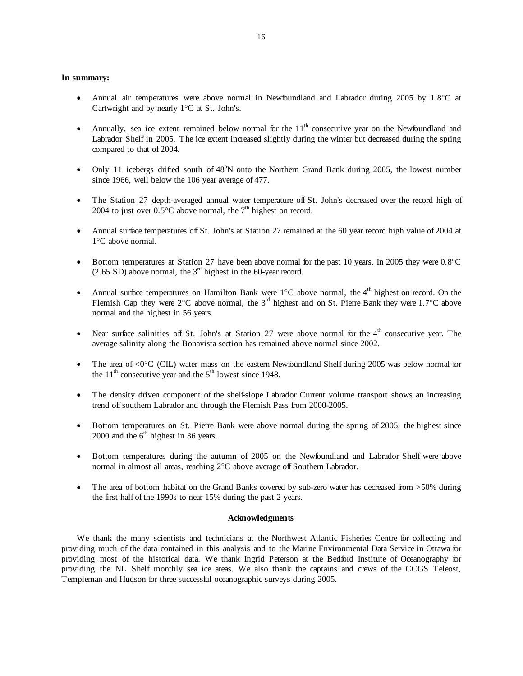# **In summary:**

- Annual air temperatures were above normal in Newfoundland and Labrador during 2005 by 1.8°C at Cartwright and by nearly 1°C at St. John's.
- Annually, sea ice extent remained below normal for the  $11<sup>th</sup>$  consecutive year on the Newfoundland and Labrador Shelf in 2005. The ice extent increased slightly during the winter but decreased during the spring compared to that of 2004.
- Only 11 icebergs drifted south of 48°N onto the Northern Grand Bank during 2005, the lowest number since 1966, well below the 106 year average of 477.
- The Station 27 depth-averaged annual water temperature off St. John's decreased over the record high of 2004 to just over  $0.5^{\circ}$ C above normal, the  $7^{th}$  highest on record.
- Annual surface temperatures off St. John's at Station 27 remained at the 60 year record high value of 2004 at 1°C above normal.
- Bottom temperatures at Station 27 have been above normal for the past 10 years. In 2005 they were  $0.8^{\circ}$ C  $(2.65 SD)$  above normal, the 3<sup>rd</sup> highest in the 60-year record.
- Annual surface temperatures on Hamilton Bank were  $1^{\circ}C$  above normal, the 4<sup>th</sup> highest on record. On the Flemish Cap they were  $2^{\circ}$ C above normal, the  $3^{\text{rd}}$  highest and on St. Pierre Bank they were 1.7°C above normal and the highest in 56 years.
- Near surface salinities off St. John's at Station 27 were above normal for the  $4<sup>th</sup>$  consecutive year. The average salinity along the Bonavista section has remained above normal since 2002.
- The area of  $\langle 0^{\circ}C \rangle$  (CIL) water mass on the eastern Newfoundland Shelf during 2005 was below normal for the  $11<sup>th</sup>$  consecutive year and the  $5<sup>th</sup>$  lowest since 1948.
- The density driven component of the shelf-slope Labrador Current volume transport shows an increasing trend off southern Labrador and through the Flemish Pass from 2000-2005.
- Bottom temperatures on St. Pierre Bank were above normal during the spring of 2005, the highest since 2000 and the  $6<sup>th</sup>$  highest in 36 years.
- Bottom temperatures during the autumn of 2005 on the Newfoundland and Labrador Shelf were above normal in almost all areas, reaching 2°C above average off Southern Labrador.
- The area of bottom habitat on the Grand Banks covered by sub-zero water has decreased from >50% during the first half of the 1990s to near 15% during the past 2 years.

## **Acknowledgments**

We thank the many scientists and technicians at the Northwest Atlantic Fisheries Centre for collecting and providing much of the data contained in this analysis and to the Marine Environmental Data Service in Ottawa for providing most of the historical data. We thank Ingrid Peterson at the Bedford Institute of Oceanography for providing the NL Shelf monthly sea ice areas. We also thank the captains and crews of the CCGS Teleost, Templeman and Hudson for three successful oceanographic surveys during 2005.